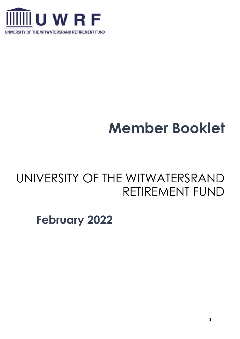

# **Member Booklet**

## UNIVERSITY OF THE WITWATERSRAND RETIREMENT FUND

## **February 2022**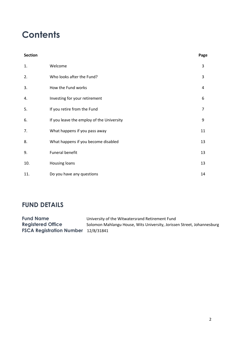## **Contents**

| <b>Section</b> |                                           | Page |
|----------------|-------------------------------------------|------|
| 1.             | Welcome                                   | 3    |
| 2.             | Who looks after the Fund?                 | 3    |
| 3.             | How the Fund works                        | 4    |
| 4.             | Investing for your retirement             | 6    |
| 5.             | If you retire from the Fund               | 7    |
| 6.             | If you leave the employ of the University | 9    |
| 7.             | What happens if you pass away             | 11   |
| 8.             | What happens if you become disabled       | 13   |
| 9.             | Funeral benefit                           | 13   |
| 10.            | Housing loans                             | 13   |
| 11.            | Do you have any questions                 | 14   |

## **FUND DETAILS**

| <b>Fund Name</b>                           | University of the Witwatersrand Retirement Fund                        |
|--------------------------------------------|------------------------------------------------------------------------|
| <b>Registered Office</b>                   | Solomon Mahlangu House, Wits University, Jorissen Street, Johannesburg |
| <b>FSCA Registration Number</b> 12/8/31841 |                                                                        |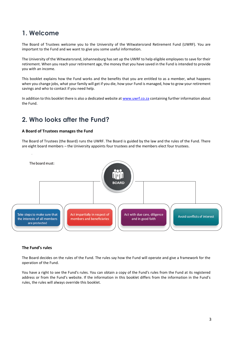## **1. Welcome**

The Board of Trustees welcome you to the University of the Witwatersrand Retirement Fund (UWRF). You are important to the Fund and we want to give you some useful information.

The University of the Witwatersrand, Johannesburg has set up the UWRF to help eligible employees to save for their retirement. When you reach your retirement age, the money that you have saved in the Fund is intended to provide you with an income.

This booklet explains how the Fund works and the benefits that you are entitled to as a member, what happens when you change jobs, what your family will get if you die, how your Fund is managed, how to grow your retirement savings and who to contact if you need help.

In addition to this booklet there is also a dedicated website a[t www.uwrf.co.za](http://www.uwrf.co.za/) containing further information about the Fund.

### **2. Who looks after the Fund?**

#### **A Board of Trustees manages the Fund**

The Board of Trustees (the Board) runs the UWRF. The Board is guided by the law and the rules of the Fund. There are eight board members – the University appoints four trustees and the members elect four trustees.



#### **The Fund's rules**

The Board decides on the rules of the Fund. The rules say how the Fund will operate and give a framework for the operation of the Fund.

You have a right to see the Fund's rules. You can obtain a copy of the Fund's rules from the Fund at its registered address or from the Fund's website. If the information in this booklet differs from the information in the Fund's rules, the rules will always override this booklet.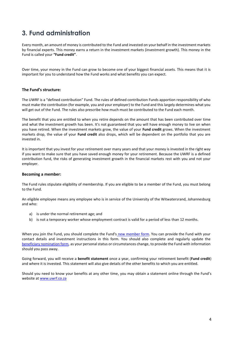## **3. Fund administration**

Every month, an amount of money is contributed to the Fund and invested on your behalf in the investment markets by financial experts. This money earns a return in the investment markets (investment growth). This money in the Fund is called your **"Fund credit"**.

Over time, your money in the Fund can grow to become one of your biggest financial assets. This means that it is important for you to understand how the Fund works and what benefits you can expect.

#### **The Fund's structure:**

The UWRF is a "defined contribution" Fund. The rules of defined contribution Funds apportion responsibility of who must make the contribution (for example, you and your employer) to the Fund and this largely determines what you will get out of the Fund. The rules also prescribe how much must be contributed to the Fund each month.

The benefit that you are entitled to when you retire depends on the amount that has been contributed over time and what the investment growth has been. It's not guaranteed that you will have enough money to live on when you have retired. When the investment markets grow, the value of your **Fund credit** grows. When the investment markets drop, the value of your **Fund credit** also drops, which will be dependent on the portfolio that you are invested in.

It is important that you invest for your retirement over many years and that your money is invested in the right way if you want to make sure that you have saved enough money for your retirement. Because the UWRF is a defined contribution fund, the risks of generating investment growth in the financial markets rest with you and not your employer.

#### **Becoming a member:**

The Fund rules stipulate eligibility of membership. If you are eligible to be a member of the Fund, you must belong to the Fund.

An eligible employee means any employee who is in service of the University of the Witwatersrand, Johannesburg and who:

- a) is under the normal retirement age; and
- b) is not a temporary worker whose employment contract is valid for a period of less than 12 months.

When you join the Fund, you should complete the Fund's [new member form.](https://nmg-group.com/membership-application-form/) You can provide the Fund with your contact details and investment instructions in this form. You should also complete and regularly update the [beneficiary nomination form,](https://nmg-group.com/nomination-of-beneficiary-form/) as your personal status or circumstances change, to provide the Fund with information should you pass away.

Going forward, you will receive a **benefit statement** once a year, confirming your retirement benefit (**Fund credit**) and where it is invested. This statement will also give details of the other benefits to which you are entitled.

Should you need to know your benefits at any other time, you may obtain a statement online through the Fund's website at [www.uwrf.co.za](http://www.uwrf.co.za/)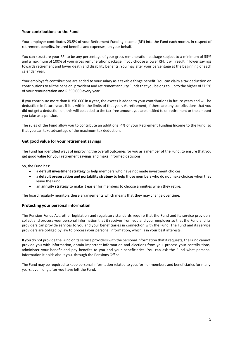#### **Your contributions to the Fund**

Your employer contributes 23.5% of your Retirement Funding Income (RFI) into the Fund each month, in respect of retirement benefits, insured benefits and expenses, on your behalf.

You can structure your RFI to be any percentage of your gross remuneration package subject to a minimum of 55% and a maximum of 100% of your gross remuneration package. If you choose a lower RFI, it will result in lower savings towards retirement and lower death and disability benefits. You may alter your percentage at the beginning of each calendar year.

Your employer's contributions are added to your salary as a taxable fringe benefit. You can claim a tax deduction on contributions to all the pension, provident and retirement annuity Funds that you belong to, up to the higher of27.5% of your remuneration and R 350 000 every year.

If you contribute more than R 350 000 in a year, the excess is added to your contributions in future years and will be deductible in future years if it is within the limits of that year. At retirement, if there are any contributions that you did not get a deduction on, this will be added to the tax-free amount you are entitled to on retirement or the amount you take as a pension.

The rules of the Fund allow you to contribute an additional 4% of your Retirement Funding Income to the Fund, so that you can take advantage of the maximum tax deduction.

#### **Get good value for your retirement savings**

The Fund has identified ways of improving the overall outcomes for you as a member of the Fund, to ensure that you get good value for your retirement savings and make informed decisions.

So, the Fund has:

- a **default investment strategy** to help members who have not made investment choices;
- a **default preservation and portability strategy** to help those members who do not make choices when they leave the Fund;
- an **annuity strategy** to make it easier for members to choose annuities when they retire.

The board regularly monitors these arrangements which means that they may change over time.

#### **Protecting your personal information**

The Pension Funds Act, other legislation and regulatory standards require that the Fund and its service providers collect and process your personal information that it receives from you and your employer so that the Fund and its providers can provide services to you and your beneficiaries in connection with the Fund. The Fund and its service providers are obliged by law to process your personal information, which is in your best interests.

If you do not provide the Fund or its service providers with the personal information that it requests, the Fund cannot provide you with information, obtain important information and elections from you, process your contributions, administer your benefit and pay benefits to you and your beneficiaries. You can ask the Fund what personal information it holds about you, through the Pensions Office.

The Fund may be required to keep personal information related to you, former members and beneficiaries for many years, even long after you have left the Fund.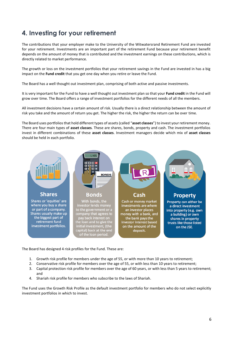## **4. Investing for your retirement**

The contributions that your employer make to the University of the Witwatersrand Retirement Fund are invested for your retirement. Investments are an important part of the retirement Fund because your retirement benefit depends on the amount of money that is contributed and the investment earnings on these contributions, which is directly related to market performance.

The growth or loss on the investment portfolios that your retirement savings in the Fund are invested in has a big impact on the **Fund credit** that you get one day when you retire or leave the Fund.

The Board has a well thought out investment plan, comprising of both active and passive investments.

It is very important for the Fund to have a well thought out investment plan so that your **Fund credit** in the Fund will grow over time. The Board offers a range of investment portfolios for the different needs of all the members.

All investment decisions have a certain amount of risk. Usually there is a direct relationship between the amount of risk you take and the amount of return you get. The higher the risk, the higher the return can be over time.

The Board uses portfolios that hold different types of assets (called "**asset classes**") to invest your retirement money. There are four main types of **asset classes**. These are shares, bonds, property and cash. The investment portfolios invest in different combinations of these **asset classes**. Investment managers decide which mix of **asset classes**  should be held in each portfolio.



The Board has designed 4 risk profiles for the Fund. These are:

- 1. Growth risk profile for members under the age of 55, or with more than 10 years to retirement;
- 2. Conservative risk profile for members over the age of 55, or with less than 10 years to retirement;
- 3. Capital protection risk profile for members over the age of 60 years, or with less than 5 years to retirement; and
- 4. Shariah risk profile for members who subscribe to the laws of Shariah.

The Fund uses the Growth Risk Profile as the default investment portfolio for members who do not select explicitly investment portfolios in which to invest.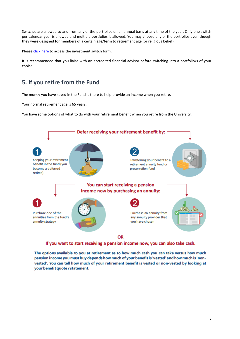Switches are allowed to and from any of the portfolios on an annual basis at any time of the year. Only one switch per calendar year is allowed and multiple portfolios is allowed. You may choose any of the portfolios even though they were designed for members of a certain age/term to retirement age (or religious belief).

Please [click here](https://nmg-group.com/investment-switch-form/) to access the investment switch form.

It is recommended that you liaise with an accredited financial advisor before switching into a portfolio/s of your choice.

### **5. If you retire from the Fund**

The money you have saved in the Fund is there to help provide an income when you retire.

Your normal retirement age is 65 years.

You have some options of what to do with your retirement benefit when you retire from the University.



If you want to start receiving a pension income now, you can also take cash.

The options available to you at retirement as to how much cash you can take versus how much pension income you must buy depends how much of your benefit is 'vested' and how much is 'nonvested'. You can tell how much of your retirement benefit is vested or non-vested by looking at your benefit quote / statement.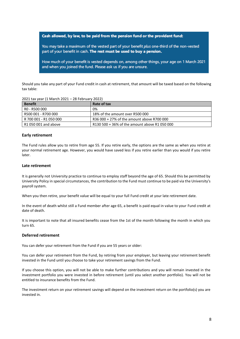Cash allowed, by law, to be paid from the pension fund or the provident fund:

You may take a maximum of the vested part of your benefit plus one-third of the non-vested part of your benefit in cash. The rest must be used to buy a pension.

How much of your benefit is vested depends on, among other things, your age on 1 March 2021 and when you joined the fund. Please ask us if you are unsure.

Should you take any part of your Fund credit in cash at retirement, that amount will be taxed based on the following tax table:

| <b>Benefit</b>         | Rate of tax                                   |
|------------------------|-----------------------------------------------|
| RO - R500 000          | 0%                                            |
| R500 001 - R700 000    | 18% of the amount over R500 000               |
| R 700 001 - R1 050 000 | R36 000 + 27% of the amount above R700 000    |
| R1 050 001 and above   | R130 500 + 36% of the amount above R1 050 000 |

#### **Early retirement**

The Fund rules allow you to retire from age 55. If you retire early, the options are the same as when you retire at your normal retirement age. However, you would have saved less if you retire earlier than you would if you retire later.

#### **Late retirement**

It is generally not University practice to continue to employ staff beyond the age of 65. Should this be permitted by University Policy in special circumstances, the contribution to the Fund must continue to be paid via the University's payroll system.

When you then retire, your benefit value will be equal to your full Fund credit at your late retirement date.

In the event of death whilst still a Fund member after age 65, a benefit is paid equal in value to your Fund credit at date of death.

It is important to note that all insured benefits cease from the 1st of the month following the month in which you turn 65.

#### **Deferred retirement**

You can defer your retirement from the Fund if you are 55 years or older:

You can defer your retirement from the Fund, by retiring from your employer, but leaving your retirement benefit invested in the Fund until you choose to take your retirement savings from the Fund.

If you choose this option, you will not be able to make further contributions and you will remain invested in the investment portfolio you were invested in before retirement (until you select another portfolio). You will not be entitled to insurance benefits from the Fund.

The investment return on your retirement savings will depend on the investment return on the portfolio(s) you are invested in.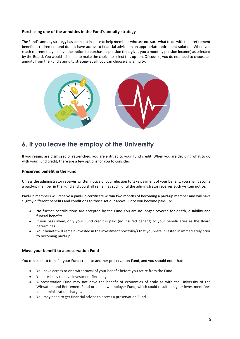#### **Purchasing one of the annuities in the Fund's annuity strategy**

The Fund's annuity strategy has been put in place to help members who are not sure what to do with their retirement benefit at retirement and do not have access to financial advice on an appropriate retirement solution. When you reach retirement, you have the option to purchase a pension (that gives you a monthly pension income) as selected by the Board. You would still need to make the choice to select this option. Of course, you do not need to choose an annuity from the Fund's annuity strategy at all, you can choose any annuity.



### **6. If you leave the employ of the University**

If you resign, are dismissed or retrenched, you are entitled to your Fund credit. When you are deciding what to do with your Fund credit, there are a few options for you to consider.

#### **Preserved benefit in the Fund**

Unless the administrator receives written notice of your election to take payment of your benefit, you shall become a paid-up member in the Fund and you shall remain as such, until the administrator receives such written notice.

Paid-up members will receive a paid-up certificate within two months of becoming a paid-up member and will have slightly different benefits and conditions to those set out above. Once you become paid-up:

- No further contributions are accepted by the Fund You are no longer covered for death, disability and funeral benefits.
- If you pass away, only your Fund credit is paid (no insured benefit) to your beneficiaries as the Board determines.
- Your benefit will remain invested in the investment portfolio/s that you were invested in immediately prior to becoming paid-up

#### **Move your benefit to a preservation Fund**

You can elect to transfer your Fund credit to another preservation Fund, and you should note that:

- You have access to one withdrawal of your benefit before you retire from the Fund.
- You are likely to have investment flexibility.
- A preservation Fund may not have the benefit of economies of scale as with the University of the Witwatersrand Retirement Fund or in a new employer Fund, which could result in higher investment fees and administration charges.
- You may need to get financial advice to access a preservation Fund.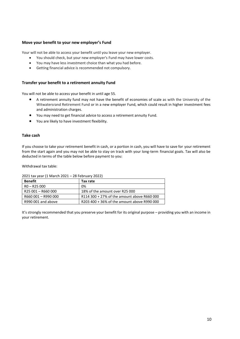#### **Move your benefit to your new employer's Fund**

Your will not be able to access your benefit until you leave your new employer.

- You should check, but your new employer's Fund may have lower costs.
- You may have less investment choice than what you had before.
- Getting financial advice is recommended not compulsory.

#### **Transfer your benefit to a retirement annuity Fund**

You will not be able to access your benefit in until age 55.

- A retirement annuity fund may not have the benefit of economies of scale as with the University of the Witwatersrand Retirement Fund or in a new employer Fund, which could result in higher investment fees and administration charges.
- You may need to get financial advice to access a retirement annuity Fund.
- You are likely to have investment flexibility.

#### **Take cash**

If you choose to take your retirement benefit in cash, or a portion in cash, you will have to save for your retirement from the start again and you may not be able to stay on track with your long-term financial goals. Tax will also be deducted in terms of the table below before payment to you:

Withdrawal tax table:

| <b>Benefit</b>      | Tax rate                                    |
|---------------------|---------------------------------------------|
| $RO - R25000$       | 0%                                          |
| R25 001 - R660 000  | 18% of the amount over R25 000              |
| R660 001 - R990 000 | R114 300 + 27% of the amount above R660 000 |
| R990 001 and above  | R203 400 + 36% of the amount above R990 000 |

2021 tax year (1 March 2021 – 28 February 2022)

It's strongly recommended that you preserve your benefit for its original purpose – providing you with an income in your retirement.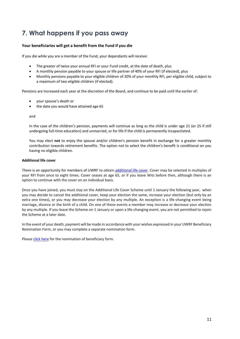## **7. What happens if you pass away**

#### **Your beneficiaries will get a benefit from the Fund if you die**

If you die while you are a member of the Fund, your dependants will receive:

- The greater of twice your annual RFI or your Fund credit, at the date of death, plus
- A monthly pension payable to your spouse or life partner of 40% of your RFI (if elected), plus
- Monthly pensions payable to your eligible children of 20% of your monthly RFI, per eligible child, subject to a maximum of two eligible children (if elected).

Pensions are increased each year at the discretion of the Board, and continue to be paid until the earlier of:

- your spouse's death or
- the date you would have attained age 65

and

In the case of the children's pension, payments will continue as long as the child is under age 21 (or 25 if still undergoing full-time education) and unmarried, or for life if the child is permanently incapacitated.

You may elect **not** to enjoy the spouse and/or children's pension benefit in exchange for a greater monthly contribution towards retirement benefits. The option not to select the children's benefit is conditional on you having no eligible children.

#### **Additional life cover**

There is an opportunity for members of UWRF to obtain [additional life cover.](https://nmg-group.com/additional-voluntary-life-cover-form/) Cover may be selected in multiples of your RFI from once to eight times. Cover ceases at age 65, or if you leave Wits before then, although there is an option to continue with the cover on an individual basis.

Once you have joined, you must stay on the Additional Life Cover Scheme until 1 January the following year, when you may decide to cancel the additional cover, keep your election the same, increase your election (but only by an extra one times), or you may decrease your election by any multiple. An exception is a life-changing event being marriage, divorce or the birth of a child. On one of these events a member may increase or decrease your election by any multiple. If you leave the Scheme on 1 January or upon a life-changing event, you are not permitted to rejoin the Scheme at a later date.

In the event of your death, payment will be made in accordance with your wishes expressed in your UWRF Beneficiary Nomination Form, or you may complete a separate nomination form.

Please [click here](https://nmg-group.com/nomination-of-beneficiary-form/) for the nomination of beneficiary form.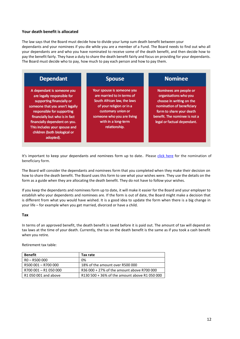#### **Your death benefit is allocated**

The law says that the Board must decide how to divide your lump sum death benefit between your dependants and your nominees if you die while you are a member of a Fund. The Board needs to find out who all your dependants are and who you have nominated to receive some of the death benefit, and then decide how to pay the benefit fairly. They have a duty to share the death benefit fairly and focus on providing for your dependants. The Board must decide who to pay, how much to pay each person and how to pay them.

| <b>Dependant</b>                                                                                                                                                                                                                                                                                         | <b>Spouse</b>                                                                                                                                                                                                   | <b>Nominee</b>                                                                                                                                                                                       |
|----------------------------------------------------------------------------------------------------------------------------------------------------------------------------------------------------------------------------------------------------------------------------------------------------------|-----------------------------------------------------------------------------------------------------------------------------------------------------------------------------------------------------------------|------------------------------------------------------------------------------------------------------------------------------------------------------------------------------------------------------|
| A dependant is someone you<br>are legally responsible for<br>supporting financially or<br>someone that you aren't legally<br>responsible for supporting<br>financially but who is in fact<br>financially dependent on you.<br>This includes your spouse and<br>children (both biological or<br>adopted). | Your spouse is someone you<br>are married to in terms of<br>South African law, the laws<br>of your religion or in a<br>customary union or<br>someone who you are living<br>with in a long-term<br>relationship. | Nominees are people or<br>organisations who you<br>choose in writing on the<br>nomination of beneficiary<br>form to share your death<br>benefit. The nominee is not a<br>legal or factual dependant. |

It's important to keep your dependants and nominees form up to date. Please [click here](https://nmg-group.com/nomination-of-beneficiary-form/) for the nomination of beneficiary form.

The Board will consider the dependants and nominees form that you completed when they make their decision on how to share the death benefit. The Board uses this form to see what your wishes were. They use the details on the form as a guide when they are allocating the death benefit. They do not have to follow your wishes.

If you keep the dependants and nominees form up to date, it will make it easier for the Board and your employer to establish who your dependents and nominees are. If the form is out of date, the Board might make a decision that is different from what you would have wished. It is a good idea to update the form when there is a big change in your life – for example when you get married, divorced or have a child.

#### **Tax**

In terms of an approved benefit, the death benefit is taxed before it is paid out. The amount of tax will depend on tax laws at the time of your death. Currently, the tax on the death benefit is the same as if you took a cash benefit when you retire.

Retirement tax table:

| <b>Benefit</b>       | Tax rate                                      |
|----------------------|-----------------------------------------------|
| R0 - R500 000        | 0%                                            |
| R500 001 - R700 000  | 18% of the amount over R500 000               |
| R700 001-R1 050 000  | R36 000 + 27% of the amount above R700 000    |
| R1 050 001 and above | R130 500 + 36% of the amount above R1 050 000 |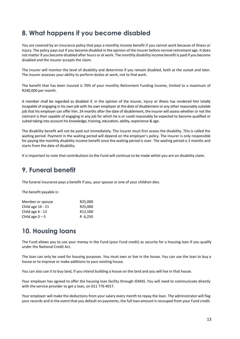## **8. What happens if you become disabled**

You are covered by an insurance policy that pays a monthly income benefit if you cannot work because of illness or injury. The policy pays out if you become disabled in the opinion of the insurer before normal retirement age. It does not matter if you become disabled after hours or at work. The monthly disability income benefit is paid if you become disabled and the insurer accepts the claim.

The insurer will monitor the level of disability and determine if you remain disabled, both at the outset and later. The insurer assesses your ability to perform duties at work, not to find work.

The benefit that has been insured is 70% of your monthly Retirement Funding Income, limited to a maximum of R240,000 per month.

A member shall be regarded as disabled if, in the opinion of the insurer, injury or illness has rendered him totally incapable of engaging in his own job with his own employer at the date of disablement or any other reasonably suitable job that his employer can offer him. 24 months after the date of disablement, the insurer will assess whether or not the claimant is then capable of engaging in any job for which he is or could reasonably be expected to become qualified or suited taking into account his knowledge, training, education, ability, experience & age.

The disability benefit will not be paid out immediately. The insurer must first assess the disability. This is called the waiting period. Payment in the waiting period will depend on the employer's policy. The insurer is only responsible for paying the monthly disability income benefit once the waiting period is over. The waiting period is 3 months and starts from the date of disability.

It is important to note that contributions to the Fund will continue to be made whilst you are on disability claim.

## **9. Funeral benefit**

The funeral insurance pays a benefit if you, your spouse or one of your children dies.

The benefit payable is:

| Member or spouse   | R <sub>25</sub> ,000 |
|--------------------|----------------------|
| Child age 14 - 21  | R25,000              |
| Child age $6 - 13$ | R <sub>12.500</sub>  |
| Child age $0 - 5$  | R 6,250              |

## **10. Housing loans**

The Fund allows you to use your money in the Fund (your Fund credit) as security for a housing loan if you qualify under the National Credit Act.

The loan can only be used for housing purposes. You must own or live in the house. You can use the loan to buy a house or to improve or make additions to your existing house.

You can also use it to buy land, if you intend building a house on the land and you will live in that house.

Your employer has agreed to offer the housing loan facility through IEMAS. You will need to communicate directly with the service provider to get a loan, on 011 776 4017.

Your employer will make the deductions from your salary every month to repay the loan. The administrator will flag your records and in the event that you default on payments, the full loan amount is recouped from your Fund credit.